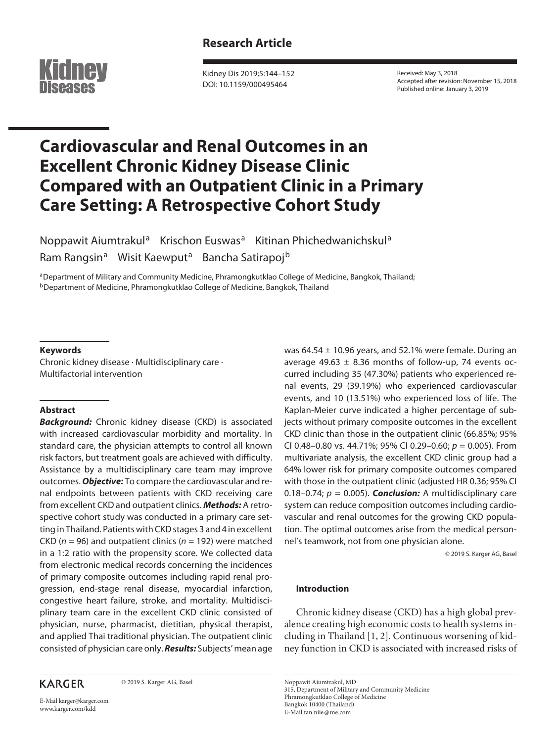

Kidney Dis 2019;5:144–152 DOI: 10.1159/000495464

Received: May 3, 2018 Accepted after revision: November 15, 2018 Published online: January 3, 2019

# **Cardiovascular and Renal Outcomes in an Excellent Chronic Kidney Disease Clinic Compared with an Outpatient Clinic in a Primary Care Setting: A Retrospective Cohort Study**

Noppawit Aiumtrakul<sup>a</sup> Krischon Euswas<sup>a</sup> Kitinan Phichedwanichskul<sup>a</sup> Ram Rangsin<sup>a</sup> Wisit Kaewput<sup>a</sup> Bancha Satirapoj<sup>b</sup>

aDepartment of Military and Community Medicine, Phramongkutklao College of Medicine, Bangkok, Thailand; bDepartment of Medicine, Phramongkutklao College of Medicine, Bangkok, Thailand

# **Keywords**

Chronic kidney disease · Multidisciplinary care · Multifactorial intervention

# **Abstract**

*Background:* Chronic kidney disease (CKD) is associated with increased cardiovascular morbidity and mortality. In standard care, the physician attempts to control all known risk factors, but treatment goals are achieved with difficulty. Assistance by a multidisciplinary care team may improve outcomes. *Objective:* To compare the cardiovascular and renal endpoints between patients with CKD receiving care from excellent CKD and outpatient clinics. *Methods:* A retrospective cohort study was conducted in a primary care setting in Thailand. Patients with CKD stages 3 and 4 in excellent CKD (*n* = 96) and outpatient clinics (*n* = 192) were matched in a 1:2 ratio with the propensity score. We collected data from electronic medical records concerning the incidences of primary composite outcomes including rapid renal progression, end-stage renal disease, myocardial infarction, congestive heart failure, stroke, and mortality. Multidisciplinary team care in the excellent CKD clinic consisted of physician, nurse, pharmacist, dietitian, physical therapist, and applied Thai traditional physician. The outpatient clinic consisted of physician care only. *Results:* Subjects' mean age

# **KARGER**

© 2019 S. Karger AG, Basel

E-Mail karger@karger.com www.karger.com/kdd

was  $64.54 \pm 10.96$  years, and 52.1% were female. During an average 49.63  $\pm$  8.36 months of follow-up, 74 events occurred including 35 (47.30%) patients who experienced renal events, 29 (39.19%) who experienced cardiovascular events, and 10 (13.51%) who experienced loss of life. The Kaplan-Meier curve indicated a higher percentage of subjects without primary composite outcomes in the excellent CKD clinic than those in the outpatient clinic (66.85%; 95% CI 0.48–0.80 vs. 44.71%; 95% CI 0.29–0.60; *p* = 0.005). From multivariate analysis, the excellent CKD clinic group had a 64% lower risk for primary composite outcomes compared with those in the outpatient clinic (adjusted HR 0.36; 95% CI 0.18–0.74;  $p = 0.005$ ). **Conclusion:** A multidisciplinary care system can reduce composition outcomes including cardiovascular and renal outcomes for the growing CKD population. The optimal outcomes arise from the medical personnel's teamwork, not from one physician alone.

© 2019 S. Karger AG, Basel

# **Introduction**

Chronic kidney disease (CKD) has a high global prevalence creating high economic costs to health systems including in Thailand [1, 2]. Continuous worsening of kidney function in CKD is associated with increased risks of

Noppawit Aiumtrakul, MD 315, Department of Military and Community Medicine Phramongkutklao College of Medicine Bangkok 10400 (Thailand) E-Mail tan.niie@me.com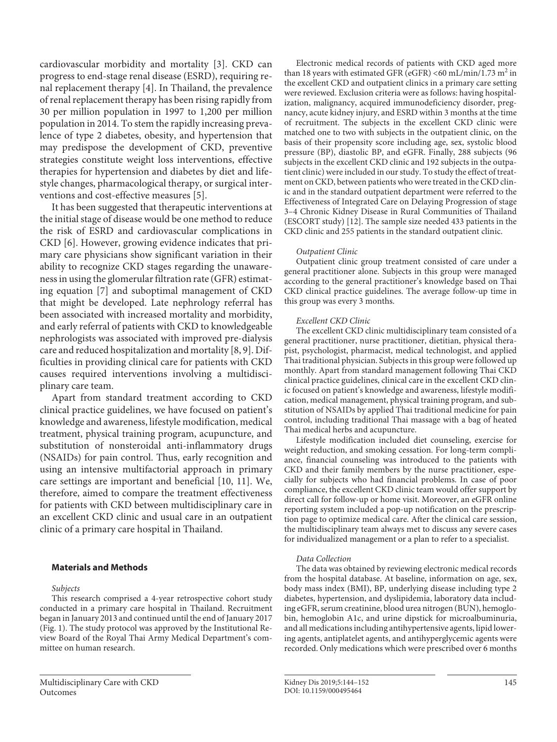cardiovascular morbidity and mortality [3]. CKD can progress to end-stage renal disease (ESRD), requiring renal replacement therapy [4]. In Thailand, the prevalence of renal replacement therapy has been rising rapidly from 30 per million population in 1997 to 1,200 per million population in 2014. To stem the rapidly increasing prevalence of type 2 diabetes, obesity, and hypertension that may predispose the development of CKD, preventive strategies constitute weight loss interventions, effective therapies for hypertension and diabetes by diet and lifestyle changes, pharmacological therapy, or surgical interventions and cost-effective measures [5].

It has been suggested that therapeutic interventions at the initial stage of disease would be one method to reduce the risk of ESRD and cardiovascular complications in CKD [6]. However, growing evidence indicates that primary care physicians show significant variation in their ability to recognize CKD stages regarding the unawareness in using the glomerular filtration rate (GFR) estimating equation [7] and suboptimal management of CKD that might be developed. Late nephrology referral has been associated with increased mortality and morbidity, and early referral of patients with CKD to knowledgeable nephrologists was associated with improved pre-dialysis care and reduced hospitalization and mortality [8, 9]. Difficulties in providing clinical care for patients with CKD causes required interventions involving a multidisciplinary care team.

Apart from standard treatment according to CKD clinical practice guidelines, we have focused on patient's knowledge and awareness, lifestyle modification, medical treatment, physical training program, acupuncture, and substitution of nonsteroidal anti-inflammatory drugs (NSAIDs) for pain control. Thus, early recognition and using an intensive multifactorial approach in primary care settings are important and beneficial [10, 11]. We, therefore, aimed to compare the treatment effectiveness for patients with CKD between multidisciplinary care in an excellent CKD clinic and usual care in an outpatient clinic of a primary care hospital in Thailand.

# **Materials and Methods**

*Subjects*

This research comprised a 4-year retrospective cohort study conducted in a primary care hospital in Thailand. Recruitment began in January 2013 and continued until the end of January 2017 (Fig. 1). The study protocol was approved by the Institutional Review Board of the Royal Thai Army Medical Department's committee on human research.

Electronic medical records of patients with CKD aged more than 18 years with estimated GFR (eGFR) <60 mL/min/1.73  $m^2$  in the excellent CKD and outpatient clinics in a primary care setting were reviewed. Exclusion criteria were as follows: having hospitalization, malignancy, acquired immunodeficiency disorder, pregnancy, acute kidney injury, and ESRD within 3 months at the time of recruitment. The subjects in the excellent CKD clinic were matched one to two with subjects in the outpatient clinic, on the basis of their propensity score including age, sex, systolic blood pressure (BP), diastolic BP, and eGFR. Finally, 288 subjects (96 subjects in the excellent CKD clinic and 192 subjects in the outpatient clinic) were included in our study. To study the effect of treatment on CKD, between patients who were treated in the CKD clinic and in the standard outpatient department were referred to the Effectiveness of Integrated Care on Delaying Progression of stage 3–4 Chronic Kidney Disease in Rural Communities of Thailand (ESCORT study) [12]. The sample size needed 433 patients in the CKD clinic and 255 patients in the standard outpatient clinic.

# *Outpatient Clinic*

Outpatient clinic group treatment consisted of care under a general practitioner alone. Subjects in this group were managed according to the general practitioner's knowledge based on Thai CKD clinical practice guidelines. The average follow-up time in this group was every 3 months.

# *Excellent CKD Clinic*

The excellent CKD clinic multidisciplinary team consisted of a general practitioner, nurse practitioner, dietitian, physical therapist, psychologist, pharmacist, medical technologist, and applied Thai traditional physician. Subjects in this group were followed up monthly. Apart from standard management following Thai CKD clinical practice guidelines, clinical care in the excellent CKD clinic focused on patient's knowledge and awareness, lifestyle modification, medical management, physical training program, and substitution of NSAIDs by applied Thai traditional medicine for pain control, including traditional Thai massage with a bag of heated Thai medical herbs and acupuncture.

Lifestyle modification included diet counseling, exercise for weight reduction, and smoking cessation. For long-term compliance, financial counseling was introduced to the patients with CKD and their family members by the nurse practitioner, especially for subjects who had financial problems. In case of poor compliance, the excellent CKD clinic team would offer support by direct call for follow-up or home visit. Moreover, an eGFR online reporting system included a pop-up notification on the prescription page to optimize medical care. After the clinical care session, the multidisciplinary team always met to discuss any severe cases for individualized management or a plan to refer to a specialist.

### *Data Collection*

The data was obtained by reviewing electronic medical records from the hospital database. At baseline, information on age, sex, body mass index (BMI), BP, underlying disease including type 2 diabetes, hypertension, and dyslipidemia, laboratory data including eGFR, serum creatinine, blood urea nitrogen (BUN), hemoglobin, hemoglobin A1c, and urine dipstick for microalbuminuria, and all medications including antihypertensive agents, lipid lowering agents, antiplatelet agents, and antihyperglycemic agents were recorded. Only medications which were prescribed over 6 months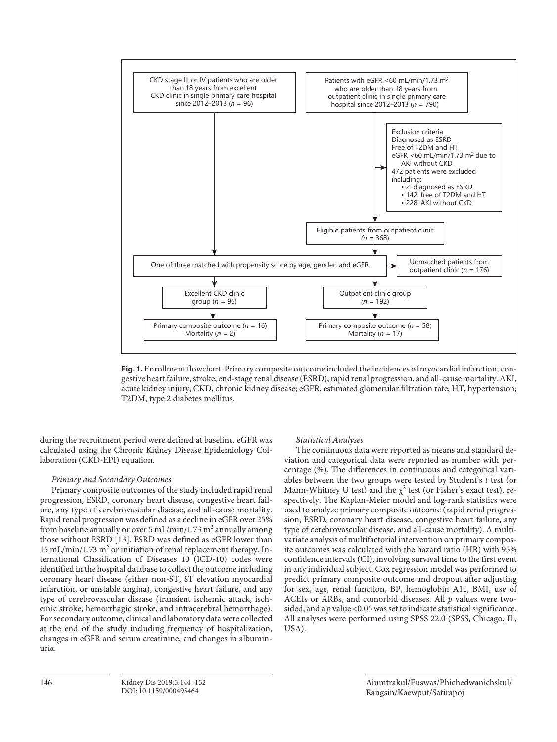

**Fig. 1.** Enrollment flowchart. Primary composite outcome included the incidences of myocardial infarction, congestive heart failure, stroke, end-stage renal disease (ESRD), rapid renal progression, and all-cause mortality. AKI, acute kidney injury; CKD, chronic kidney disease; eGFR, estimated glomerular filtration rate; HT, hypertension; T2DM, type 2 diabetes mellitus.

during the recruitment period were defined at baseline. eGFR was calculated using the Chronic Kidney Disease Epidemiology Collaboration (CKD-EPI) equation.

# *Primary and Secondary Outcomes*

Primary composite outcomes of the study included rapid renal progression, ESRD, coronary heart disease, congestive heart failure, any type of cerebrovascular disease, and all-cause mortality. Rapid renal progression was defined as a decline in eGFR over 25% from baseline annually or over 5 mL/min/1.73  $m^2$  annually among those without ESRD [13]. ESRD was defined as eGFR lower than 15 mL/min/1.73 m<sup>2</sup> or initiation of renal replacement therapy. International Classification of Diseases 10 (ICD-10) codes were identified in the hospital database to collect the outcome including coronary heart disease (either non-ST, ST elevation myocardial infarction, or unstable angina), congestive heart failure, and any type of cerebrovascular disease (transient ischemic attack, ischemic stroke, hemorrhagic stroke, and intracerebral hemorrhage). For secondary outcome, clinical and laboratory data were collected at the end of the study including frequency of hospitalization, changes in eGFR and serum creatinine, and changes in albuminuria.

#### *Statistical Analyses*

The continuous data were reported as means and standard deviation and categorical data were reported as number with percentage (%). The differences in continuous and categorical variables between the two groups were tested by Student's *t* test (or Mann-Whitney U test) and the  $\chi^2$  test (or Fisher's exact test), respectively. The Kaplan-Meier model and log-rank statistics were used to analyze primary composite outcome (rapid renal progression, ESRD, coronary heart disease, congestive heart failure, any type of cerebrovascular disease, and all-cause mortality). A multivariate analysis of multifactorial intervention on primary composite outcomes was calculated with the hazard ratio (HR) with 95% confidence intervals (CI), involving survival time to the first event in any individual subject. Cox regression model was performed to predict primary composite outcome and dropout after adjusting for sex, age, renal function, BP, hemoglobin A1c, BMI, use of ACEIs or ARBs, and comorbid diseases. All *p* values were twosided, and a *p* value <0.05 was set to indicate statistical significance. All analyses were performed using SPSS 22.0 (SPSS, Chicago, IL, USA).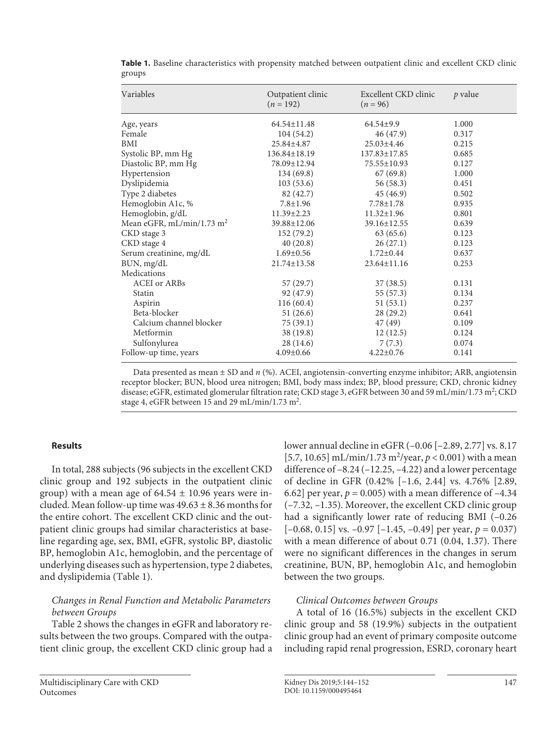| Variables                             | Outpatient clinic<br>$(n = 192)$ | Excellent CKD clinic<br>$(n = 96)$ | p value |
|---------------------------------------|----------------------------------|------------------------------------|---------|
| Age, years                            | $64.54 \pm 11.48$                | $64.54 \pm 9.9$                    | 1.000   |
| Female                                | 104(54.2)                        | 46 (47.9)                          | 0.317   |
| BMI                                   | 25.84±4.87                       | $25.03 \pm 4.46$                   | 0.215   |
| Systolic BP, mm Hg                    | $136.84 \pm 18.19$               | $137.83 \pm 17.85$                 | 0.685   |
| Diastolic BP, mm Hg                   | 78.09±12.94                      | 75.55±10.93                        | 0.127   |
| Hypertension                          | 134(69.8)                        | 67(69.8)                           | 1.000   |
| Dyslipidemia                          | 103(53.6)                        | 56 (58.3)                          | 0.451   |
| Type 2 diabetes                       | 82 (42.7)                        | 45 (46.9)                          | 0.502   |
| Hemoglobin A1c, %                     | $7.8 \pm 1.96$                   | $7.78 \pm 1.78$                    | 0.935   |
| Hemoglobin, g/dL                      | $11.39 \pm 2.23$                 | $11.32 \pm 1.96$                   | 0.801   |
| Mean eGFR, mL/min/1.73 m <sup>2</sup> | $39.88 \pm 12.06$                | $39.16 \pm 12.55$                  | 0.639   |
| CKD stage 3                           | 152(79.2)                        | 63 (65.6)                          | 0.123   |
| CKD stage 4                           | 40(20.8)                         | 26(27.1)                           | 0.123   |
| Serum creatinine, mg/dL               | $1.69 \pm 0.56$                  | $1.72 \pm 0.44$                    | 0.637   |
| BUN, mg/dL                            | $21.74 \pm 13.58$                | $23.64 \pm 11.16$                  | 0.253   |
| Medications                           |                                  |                                    |         |
| <b>ACEI</b> or ARBs                   | 57 (29.7)                        | 37(38.5)                           | 0.131   |
| Statin                                | 92 (47.9)                        | 55(57.3)                           | 0.134   |
| Aspirin                               | 116(60.4)                        | 51(53.1)                           | 0.237   |
| Beta-blocker                          | 51(26.6)                         | 28(29.2)                           | 0.641   |
| Calcium channel blocker               | 75(39.1)                         | 47 (49)                            | 0.109   |
| Metformin                             | 38 (19.8)                        | 12(12.5)                           | 0.124   |
| Sulfonylurea                          | 28 (14.6)                        | 7(7.3)                             | 0.074   |
| Follow-up time, years                 | $4.09 \pm 0.66$                  | $4.22 \pm 0.76$                    | 0.141   |

**Table 1.** Baseline characteristics with propensity matched between outpatient clinic and excellent CKD clinic groups

Data presented as mean ± SD and *n* (%). ACEI, angiotensin-converting enzyme inhibitor; ARB, angiotensin receptor blocker; BUN, blood urea nitrogen; BMI, body mass index; BP, blood pressure; CKD, chronic kidney disease; eGFR, estimated glomerular filtration rate; CKD stage 3, eGFR between 30 and 59 mL/min/1.73 m<sup>2</sup>; CKD stage 4, eGFR between 15 and 29 mL/min/1.73 m<sup>2</sup>.

# **Results**

In total, 288 subjects (96 subjects in the excellent CKD clinic group and 192 subjects in the outpatient clinic group) with a mean age of  $64.54 \pm 10.96$  years were included. Mean follow-up time was  $49.63 \pm 8.36$  months for the entire cohort. The excellent CKD clinic and the outpatient clinic groups had similar characteristics at baseline regarding age, sex, BMI, eGFR, systolic BP, diastolic BP, hemoglobin A1c, hemoglobin, and the percentage of underlying diseases such as hypertension, type 2 diabetes, and dyslipidemia (Table 1).

# *Changes in Renal Function and Metabolic Parameters between Groups*

Table 2 shows the changes in eGFR and laboratory results between the two groups. Compared with the outpatient clinic group, the excellent CKD clinic group had a

[5.7, 10.65] mL/min/1.73 m<sup>2</sup>/year,  $p < 0.001$ ) with a mean difference of –8.24 (–12.25, –4.22) and a lower percentage of decline in GFR (0.42% [–1.6, 2.44] vs. 4.76% [2.89, 6.62] per year,  $p = 0.005$ ) with a mean difference of  $-4.34$ (–7.32, –1.35). Moreover, the excellent CKD clinic group had a significantly lower rate of reducing BMI (–0.26  $[-0.68, 0.15]$  vs.  $-0.97$   $[-1.45, -0.49]$  per year,  $p = 0.037$ ) with a mean difference of about 0.71 (0.04, 1.37). There were no significant differences in the changes in serum creatinine, BUN, BP, hemoglobin A1c, and hemoglobin between the two groups.

lower annual decline in eGFR (–0.06 [–2.89, 2.77] vs. 8.17

# *Clinical Outcomes between Groups*

A total of 16 (16.5%) subjects in the excellent CKD clinic group and 58 (19.9%) subjects in the outpatient clinic group had an event of primary composite outcome including rapid renal progression, ESRD, coronary heart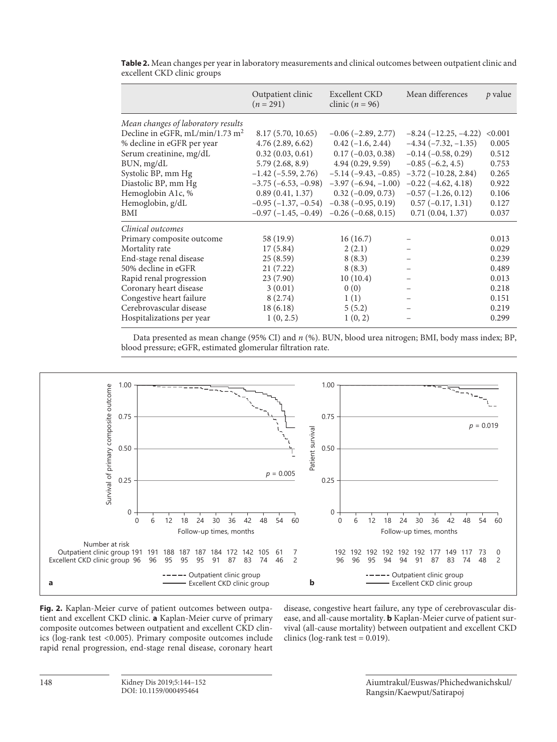|                                             | Outpatient clinic<br>$(n = 291)$ | Excellent CKD<br>clinic $(n = 96)$ | Mean differences           | p value |
|---------------------------------------------|----------------------------------|------------------------------------|----------------------------|---------|
| Mean changes of laboratory results          |                                  |                                    |                            |         |
| Decline in eGFR, mL/min/1.73 m <sup>2</sup> | 8.17(5.70, 10.65)                | $-0.06$ ( $-2.89$ , 2.77)          | $-8.24(-12.25,-4.22)$      | < 0.001 |
| % decline in eGFR per year                  | 4.76(2.89, 6.62)                 | $0.42(-1.6, 2.44)$                 | $-4.34(-7.32,-1.35)$       | 0.005   |
| Serum creatinine, mg/dL                     | 0.32(0.03, 0.61)                 | $0.17(-0.03, 0.38)$                | $-0.14(-0.58, 0.29)$       | 0.512   |
| BUN, mg/dL                                  | 5.79(2.68, 8.9)                  | 4.94(0.29, 9.59)                   | $-0.85(-6.2, 4.5)$         | 0.753   |
| Systolic BP, mm Hg                          | $-1.42$ ( $-5.59$ , 2.76)        | $-5.14(-9.43,-0.85)$               | $-3.72$ ( $-10.28$ , 2.84) | 0.265   |
| Diastolic BP, mm Hg                         | $-3.75(-6.53,-0.98)$             | $-3.97(-6.94, -1.00)$              | $-0.22(-4.62, 4.18)$       | 0.922   |
| Hemoglobin A1c, %                           | 0.89(0.41, 1.37)                 | $0.32(-0.09, 0.73)$                | $-0.57(-1.26, 0.12)$       | 0.106   |
| Hemoglobin, g/dL                            | $-0.95(-1.37, -0.54)$            | $-0.38$ ( $-0.95$ , 0.19)          | $0.57(-0.17, 1.31)$        | 0.127   |
| BMI                                         | $-0.97(-1.45,-0.49)$             | $-0.26$ ( $-0.68$ , 0.15)          | 0.71(0.04, 1.37)           | 0.037   |
| Clinical outcomes                           |                                  |                                    |                            |         |
| Primary composite outcome                   | 58 (19.9)                        | 16(16.7)                           |                            | 0.013   |
| Mortality rate                              | 17(5.84)                         | 2(2.1)                             |                            | 0.029   |
| End-stage renal disease                     | 25(8.59)                         | 8(8.3)                             |                            | 0.239   |
| 50% decline in eGFR                         | 21(7.22)                         | 8(8.3)                             |                            | 0.489   |
| Rapid renal progression                     | 23(7.90)                         | 10(10.4)                           |                            | 0.013   |
| Coronary heart disease                      | 3(0.01)                          | 0(0)                               |                            | 0.218   |
| Congestive heart failure                    | 8(2.74)                          | 1(1)                               |                            | 0.151   |
| Cerebrovascular disease                     | 18(6.18)                         | 5(5.2)                             |                            | 0.219   |
| Hospitalizations per year                   | 1(0, 2.5)                        | 1(0, 2)                            |                            | 0.299   |

**Table 2.** Mean changes per year in laboratory measurements and clinical outcomes between outpatient clinic and excellent CKD clinic groups

Data presented as mean change (95% CI) and *n* (%). BUN, blood urea nitrogen; BMI, body mass index; BP, blood pressure; eGFR, estimated glomerular filtration rate.



**Fig. 2.** Kaplan-Meier curve of patient outcomes between outpatient and excellent CKD clinic. **a** Kaplan-Meier curve of primary composite outcomes between outpatient and excellent CKD clinics (log-rank test <0.005). Primary composite outcomes include rapid renal progression, end-stage renal disease, coronary heart

disease, congestive heart failure, any type of cerebrovascular disease, and all-cause mortality. **b** Kaplan-Meier curve of patient survival (all-cause mortality) between outpatient and excellent CKD clinics (log-rank test  $= 0.019$ ).

> Aiumtrakul/Euswas/Phichedwanichskul/ Rangsin/Kaewput/Satirapoj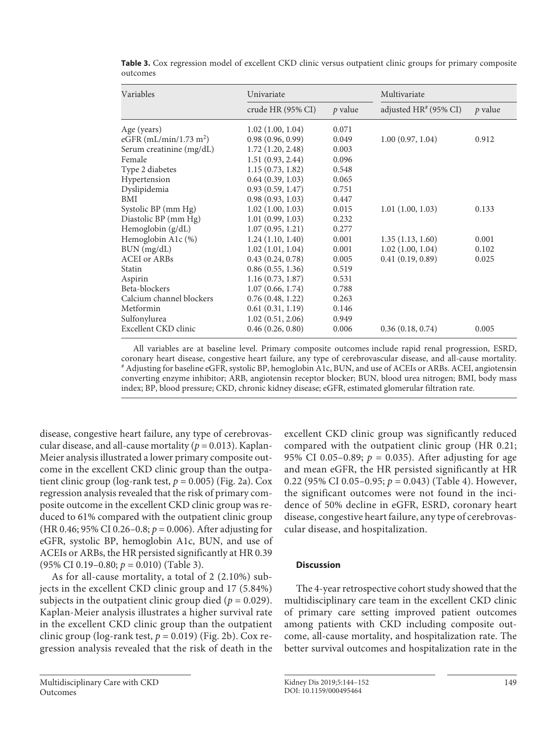| Variables                | Univariate        |           | Multivariate          |         |  |
|--------------------------|-------------------|-----------|-----------------------|---------|--|
|                          | crude HR (95% CI) | $p$ value | adjusted HR# (95% CI) | p value |  |
| Age (years)              | 1.02(1.00, 1.04)  | 0.071     |                       |         |  |
| eGFR $(mL/min/1.73 m2)$  | 0.98(0.96, 0.99)  | 0.049     | 1.00(0.97, 1.04)      | 0.912   |  |
| Serum creatinine (mg/dL) | 1.72(1.20, 2.48)  | 0.003     |                       |         |  |
| Female                   | 1.51(0.93, 2.44)  | 0.096     |                       |         |  |
| Type 2 diabetes          | 1.15(0.73, 1.82)  | 0.548     |                       |         |  |
| Hypertension             | 0.64(0.39, 1.03)  | 0.065     |                       |         |  |
| Dyslipidemia             | 0.93(0.59, 1.47)  | 0.751     |                       |         |  |
| BMI                      | 0.98(0.93, 1.03)  | 0.447     |                       |         |  |
| Systolic BP (mm Hg)      | 1.02(1.00, 1.03)  | 0.015     | 1.01(1.00, 1.03)      | 0.133   |  |
| Diastolic BP (mm Hg)     | 1.01(0.99, 1.03)  | 0.232     |                       |         |  |
| Hemoglobin (g/dL)        | 1.07(0.95, 1.21)  | 0.277     |                       |         |  |
| Hemoglobin A1c (%)       | 1.24(1.10, 1.40)  | 0.001     | 1.35(1.13, 1.60)      | 0.001   |  |
| BUN (mg/dL)              | 1.02(1.01, 1.04)  | 0.001     | 1.02(1.00, 1.04)      | 0.102   |  |
| <b>ACEI</b> or ARBs      | 0.43(0.24, 0.78)  | 0.005     | 0.41(0.19, 0.89)      | 0.025   |  |
| Statin                   | 0.86(0.55, 1.36)  | 0.519     |                       |         |  |
| Aspirin                  | 1.16(0.73, 1.87)  | 0.531     |                       |         |  |
| Beta-blockers            | 1.07(0.66, 1.74)  | 0.788     |                       |         |  |
| Calcium channel blockers | 0.76(0.48, 1.22)  | 0.263     |                       |         |  |
| Metformin                | 0.61(0.31, 1.19)  | 0.146     |                       |         |  |
| Sulfonylurea             | 1.02(0.51, 2.06)  | 0.949     |                       |         |  |
| Excellent CKD clinic     | 0.46(0.26, 0.80)  | 0.006     | 0.36(0.18, 0.74)      | 0.005   |  |

**Table 3.** Cox regression model of excellent CKD clinic versus outpatient clinic groups for primary composite outcomes

All variables are at baseline level. Primary composite outcomes include rapid renal progression, ESRD, coronary heart disease, congestive heart failure, any type of cerebrovascular disease, and all-cause mortality. # Adjusting for baseline eGFR, systolic BP, hemoglobin A1c, BUN, and use of ACEIs or ARBs. ACEI, angiotensin converting enzyme inhibitor; ARB, angiotensin receptor blocker; BUN, blood urea nitrogen; BMI, body mass index; BP, blood pressure; CKD, chronic kidney disease; eGFR, estimated glomerular filtration rate.

disease, congestive heart failure, any type of cerebrovascular disease, and all-cause mortality ( $p = 0.013$ ). Kaplan-Meier analysis illustrated a lower primary composite outcome in the excellent CKD clinic group than the outpatient clinic group (log-rank test,  $p = 0.005$ ) (Fig. 2a). Cox regression analysis revealed that the risk of primary composite outcome in the excellent CKD clinic group was reduced to 61% compared with the outpatient clinic group (HR 0.46; 95% CI 0.26–0.8; *p* = 0.006). After adjusting for eGFR, systolic BP, hemoglobin A1c, BUN, and use of ACEIs or ARBs, the HR persisted significantly at HR 0.39 (95% CI 0.19–0.80; *p* = 0.010) (Table 3).

As for all-cause mortality, a total of 2 (2.10%) subjects in the excellent CKD clinic group and 17 (5.84%) subjects in the outpatient clinic group died ( $p = 0.029$ ). Kaplan-Meier analysis illustrates a higher survival rate in the excellent CKD clinic group than the outpatient clinic group (log-rank test,  $p = 0.019$ ) (Fig. 2b). Cox regression analysis revealed that the risk of death in the

excellent CKD clinic group was significantly reduced compared with the outpatient clinic group (HR 0.21; 95% CI 0.05–0.89;  $p = 0.035$ ). After adjusting for age and mean eGFR, the HR persisted significantly at HR 0.22 (95% CI 0.05–0.95; *p* = 0.043) (Table 4). However, the significant outcomes were not found in the incidence of 50% decline in eGFR, ESRD, coronary heart disease, congestive heart failure, any type of cerebrovascular disease, and hospitalization.

# **Discussion**

The 4-year retrospective cohort study showed that the multidisciplinary care team in the excellent CKD clinic of primary care setting improved patient outcomes among patients with CKD including composite outcome, all-cause mortality, and hospitalization rate. The better survival outcomes and hospitalization rate in the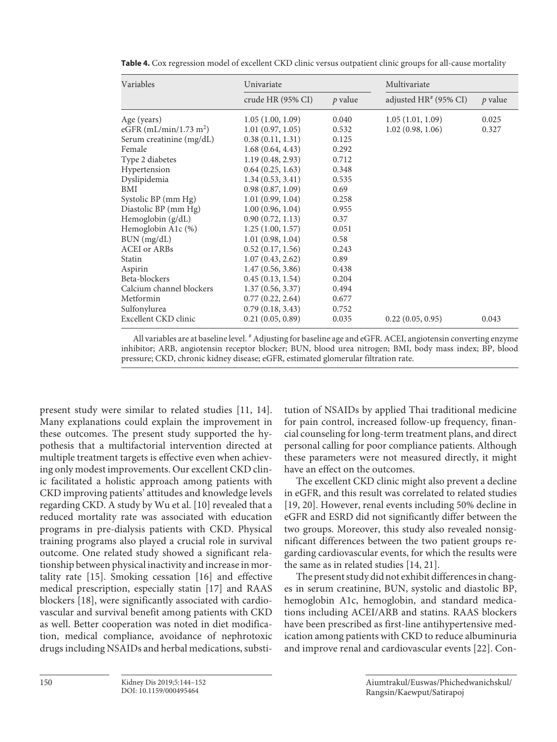| Variables                | Univariate        |         | Multivariate          |         |
|--------------------------|-------------------|---------|-----------------------|---------|
|                          | crude HR (95% CI) | p value | adjusted HR# (95% CI) | p value |
| Age (years)              | 1.05(1.00, 1.09)  | 0.040   | 1.05(1.01, 1.09)      | 0.025   |
| eGFR $(mL/min/1.73 m2)$  | 1.01(0.97, 1.05)  | 0.532   | 1.02(0.98, 1.06)      | 0.327   |
| Serum creatinine (mg/dL) | 0.38(0.11, 1.31)  | 0.125   |                       |         |
| Female                   | 1.68(0.64, 4.43)  | 0.292   |                       |         |
| Type 2 diabetes          | 1.19(0.48, 2.93)  | 0.712   |                       |         |
| Hypertension             | 0.64(0.25, 1.63)  | 0.348   |                       |         |
| Dyslipidemia             | 1.34(0.53, 3.41)  | 0.535   |                       |         |
| BMI                      | 0.98(0.87, 1.09)  | 0.69    |                       |         |
| Systolic BP (mm Hg)      | 1.01(0.99, 1.04)  | 0.258   |                       |         |
| Diastolic BP (mm Hg)     | 1.00(0.96, 1.04)  | 0.955   |                       |         |
| Hemoglobin $(g/dL)$      | 0.90(0.72, 1.13)  | 0.37    |                       |         |
| Hemoglobin A1c (%)       | 1.25(1.00, 1.57)  | 0.051   |                       |         |
| BUN (mg/dL)              | 1.01(0.98, 1.04)  | 0.58    |                       |         |
| <b>ACEI</b> or ARBs      | 0.52(0.17, 1.56)  | 0.243   |                       |         |
| Statin                   | 1.07(0.43, 2.62)  | 0.89    |                       |         |
| Aspirin                  | 1.47(0.56, 3.86)  | 0.438   |                       |         |
| Beta-blockers            | 0.45(0.13, 1.54)  | 0.204   |                       |         |
| Calcium channel blockers | 1.37(0.56, 3.37)  | 0.494   |                       |         |
| Metformin                | 0.77(0.22, 2.64)  | 0.677   |                       |         |
| Sulfonylurea             | 0.79(0.18, 3.43)  | 0.752   |                       |         |
| Excellent CKD clinic     | 0.21(0.05, 0.89)  | 0.035   | 0.22(0.05, 0.95)      | 0.043   |

**Table 4.** Cox regression model of excellent CKD clinic versus outpatient clinic groups for all-cause mortality

All variables are at baseline level. # Adjusting for baseline age and eGFR. ACEI, angiotensin converting enzyme inhibitor; ARB, angiotensin receptor blocker; BUN, blood urea nitrogen; BMI, body mass index; BP, blood pressure; CKD, chronic kidney disease; eGFR, estimated glomerular filtration rate.

present study were similar to related studies [11, 14]. Many explanations could explain the improvement in these outcomes. The present study supported the hypothesis that a multifactorial intervention directed at multiple treatment targets is effective even when achieving only modest improvements. Our excellent CKD clinic facilitated a holistic approach among patients with CKD improving patients' attitudes and knowledge levels regarding CKD. A study by Wu et al. [10] revealed that a reduced mortality rate was associated with education programs in pre-dialysis patients with CKD. Physical training programs also played a crucial role in survival outcome. One related study showed a significant relationship between physical inactivity and increase in mortality rate [15]. Smoking cessation [16] and effective medical prescription, especially statin [17] and RAAS blockers [18], were significantly associated with cardiovascular and survival benefit among patients with CKD as well. Better cooperation was noted in diet modification, medical compliance, avoidance of nephrotoxic drugs including NSAIDs and herbal medications, substitution of NSAIDs by applied Thai traditional medicine for pain control, increased follow-up frequency, financial counseling for long-term treatment plans, and direct personal calling for poor compliance patients. Although these parameters were not measured directly, it might have an effect on the outcomes.

The excellent CKD clinic might also prevent a decline in eGFR, and this result was correlated to related studies [19, 20]. However, renal events including 50% decline in eGFR and ESRD did not significantly differ between the two groups. Moreover, this study also revealed nonsignificant differences between the two patient groups regarding cardiovascular events, for which the results were the same as in related studies [14, 21].

The present study did not exhibit differences in changes in serum creatinine, BUN, systolic and diastolic BP, hemoglobin A1c, hemoglobin, and standard medications including ACEI/ARB and statins. RAAS blockers have been prescribed as first-line antihypertensive medication among patients with CKD to reduce albuminuria and improve renal and cardiovascular events [22]. Con-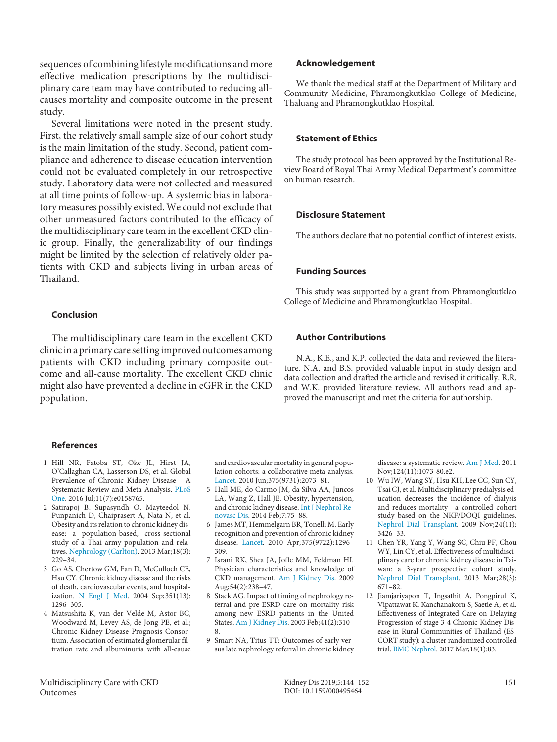sequences of combining lifestyle modifications and more effective medication prescriptions by the multidisciplinary care team may have contributed to reducing allcauses mortality and composite outcome in the present study.

Several limitations were noted in the present study. First, the relatively small sample size of our cohort study is the main limitation of the study. Second, patient compliance and adherence to disease education intervention could not be evaluated completely in our retrospective study. Laboratory data were not collected and measured at all time points of follow-up. A systemic bias in laboratory measures possibly existed. We could not exclude that other unmeasured factors contributed to the efficacy of the multidisciplinary care team in the excellent CKD clinic group. Finally, the generalizability of our findings might be limited by the selection of relatively older patients with CKD and subjects living in urban areas of Thailand.

# **Conclusion**

The multidisciplinary care team in the excellent CKD clinic in a primary care setting improved outcomes among patients with CKD including primary composite outcome and all-cause mortality. The excellent CKD clinic might also have prevented a decline in eGFR in the CKD population.

# **References**

- 1 Hill NR, Fatoba ST, Oke JL, Hirst JA, O'Callaghan CA, Lasserson DS, et al. Global Prevalence of Chronic Kidney Disease - A Systematic Review and Meta-Analysis. PLoS One. 2016 Jul;11(7):e0158765.
- 2 Satirapoj B, Supasyndh O, Mayteedol N, Punpanich D, Chaiprasert A, Nata N, et al. Obesity and its relation to chronic kidney disease: a population-based, cross-sectional study of a Thai army population and relatives. Nephrology (Carlton). 2013 Mar;18(3): 229–34.
- 3 Go AS, Chertow GM, Fan D, McCulloch CE, Hsu CY. Chronic kidney disease and the risks of death, cardiovascular events, and hospitalization. N Engl J Med. 2004 Sep;351(13): 1296–305.
- 4 Matsushita K, van der Velde M, Astor BC, Woodward M, Levey AS, de Jong PE, et al.; Chronic Kidney Disease Prognosis Consortium. Association of estimated glomerular filtration rate and albuminuria with all-cause

#### and cardiovascular mortality in general population cohorts: a collaborative meta-analysis. Lancet. 2010 Jun;375(9731):2073–81.

- 5 Hall ME, do Carmo JM, da Silva AA, Juncos LA, Wang Z, Hall JE. Obesity, hypertension, and chronic kidney disease. Int J Nephrol Renovasc Dis. 2014 Feb;7:75–88.
- 6 James MT, Hemmelgarn BR, Tonelli M. Early recognition and prevention of chronic kidney disease. Lancet. 2010 Apr;375(9722):1296– 309.
- 7 Israni RK, Shea JA, Joffe MM, Feldman HI. Physician characteristics and knowledge of CKD management. Am J Kidney Dis. 2009 Aug;54(2):238–47.
- 8 Stack AG. Impact of timing of nephrology referral and pre-ESRD care on mortality risk among new ESRD patients in the United States. Am J Kidney Dis. 2003 Feb;41(2):310– 8.
- 9 Smart NA, Titus TT: Outcomes of early versus late nephrology referral in chronic kidney

### **Acknowledgement**

We thank the medical staff at the Department of Military and Community Medicine, Phramongkutklao College of Medicine, Thaluang and Phramongkutklao Hospital.

## **Statement of Ethics**

The study protocol has been approved by the Institutional Review Board of Royal Thai Army Medical Department's committee on human research.

## **Disclosure Statement**

The authors declare that no potential conflict of interest exists.

# **Funding Sources**

This study was supported by a grant from Phramongkutklao College of Medicine and Phramongkutklao Hospital.

# **Author Contributions**

N.A., K.E., and K.P. collected the data and reviewed the literature. N.A. and B.S. provided valuable input in study design and data collection and drafted the article and revised it critically. R.R. and W.K. provided literature review. All authors read and approved the manuscript and met the criteria for authorship.

> disease: a systematic review. Am J Med. 2011 Nov;124(11):1073-80.e2.

- 10 Wu IW, Wang SY, Hsu KH, Lee CC, Sun CY, Tsai CJ, et al. Multidisciplinary predialysis education decreases the incidence of dialysis and reduces mortality—a controlled cohort study based on the NKF/DOQI guidelines. Nephrol Dial Transplant. 2009 Nov;24(11): 3426–33.
- 11 Chen YR, Yang Y, Wang SC, Chiu PF, Chou WY, Lin CY, et al. Effectiveness of multidisciplinary care for chronic kidney disease in Taiwan: a 3-year prospective cohort study. Nephrol Dial Transplant. 2013 Mar;28(3): 671–82.
- 12 Jiamjariyapon T, Ingsathit A, Pongpirul K, Vipattawat K, Kanchanakorn S, Saetie A, et al. Effectiveness of Integrated Care on Delaying Progression of stage 3-4 Chronic Kidney Disease in Rural Communities of Thailand (ES-CORT study): a cluster randomized controlled trial. BMC Nephrol. 2017 Mar;18(1):83.